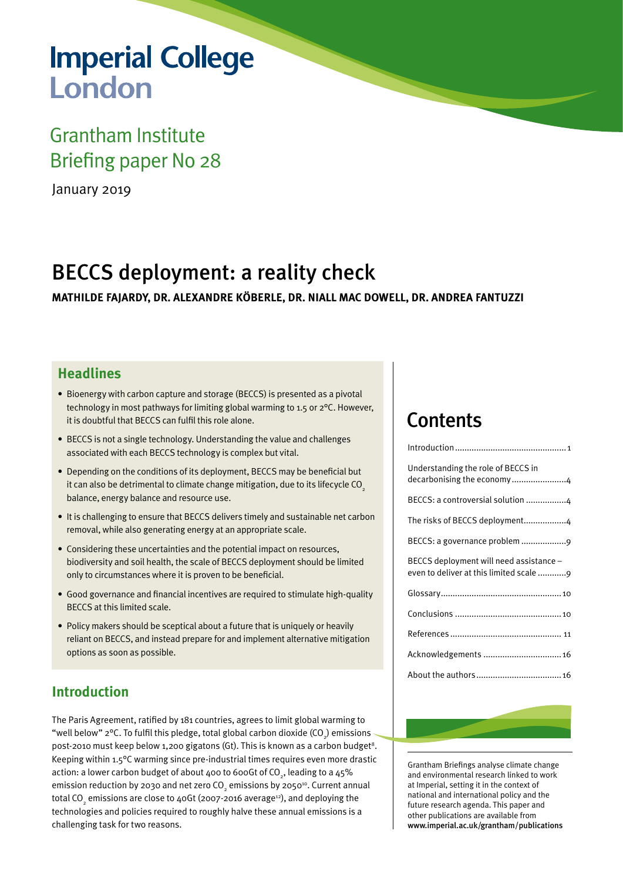# **Imperial College** London

## Grantham Institute Briefing paper No 28

January 2019

## BECCS deployment: a reality check

**MATHILDE FAJARDY, DR. ALEXANDRE KÖBERLE, DR. NIALL MAC DOWELL, DR. ANDREA FANTUZZI**

## **Headlines**

- Bioenergy with carbon capture and storage (BECCS) is presented as a pivotal technology in most pathways for limiting global warming to 1.5 or 2°C. However, it is doubtful that BECCS can fulfil this role alone.
- BECCS is not a single technology. Understanding the value and challenges associated with each BECCS technology is complex but vital.
- Depending on the conditions of its deployment, BECCS may be beneficial but it can also be detrimental to climate change mitigation, due to its lifecycle  $CO<sub>2</sub>$ balance, energy balance and resource use.
- It is challenging to ensure that BECCS delivers timely and sustainable net carbon removal, while also generating energy at an appropriate scale.
- Considering these uncertainties and the potential impact on resources, biodiversity and soil health, the scale of BECCS deployment should be limited only to circumstances where it is proven to be beneficial.
- Good governance and financial incentives are required to stimulate high-quality BECCS at this limited scale.
- Policy makers should be sceptical about a future that is uniquely or heavily reliant on BECCS, and instead prepare for and implement alternative mitigation options as soon as possible.

## **Introduction**

The Paris Agreement, ratified by 181 countries, agrees to limit global warming to "well below" 2°C. To fulfil this pledge, total global carbon dioxide (CO $_{2}$ ) emissions post-2010 must keep below 1,200 gigatons (Gt). This is known as a carbon budget<sup>8</sup>. Keeping within 1.5°C warming since pre-industrial times requires even more drastic action: a lower carbon budget of about 400 to 600Gt of CO<sub>2</sub>, leading to a 45% emission reduction by 2030 and net zero CO<sub>2</sub> emissions by 2050 $^{\scriptscriptstyle 10}$ . Current annual total CO<sub>2</sub> emissions are close to 40Gt (2007-2016 average $^{_{12}}$ ), and deploying the technologies and policies required to roughly halve these annual emissions is a challenging task for two reasons.

## **Contents**

| Understanding the role of BECCS in<br>decarbonising the economy4                   |
|------------------------------------------------------------------------------------|
| BECCS: a controversial solution 4                                                  |
| The risks of BECCS deployment4                                                     |
|                                                                                    |
| BECCS deployment will need assistance -<br>even to deliver at this limited scale 9 |
|                                                                                    |
|                                                                                    |
|                                                                                    |
| Acknowledgements  16                                                               |
|                                                                                    |

Grantham Briefings analyse climate change and environmental research linked to work at Imperial, setting it in the context of national and international policy and the future research agenda. This paper and other publications are available from [www.imperial.ac.uk/grantham/publications](www.imperial.ac.uk/climatechange/publications)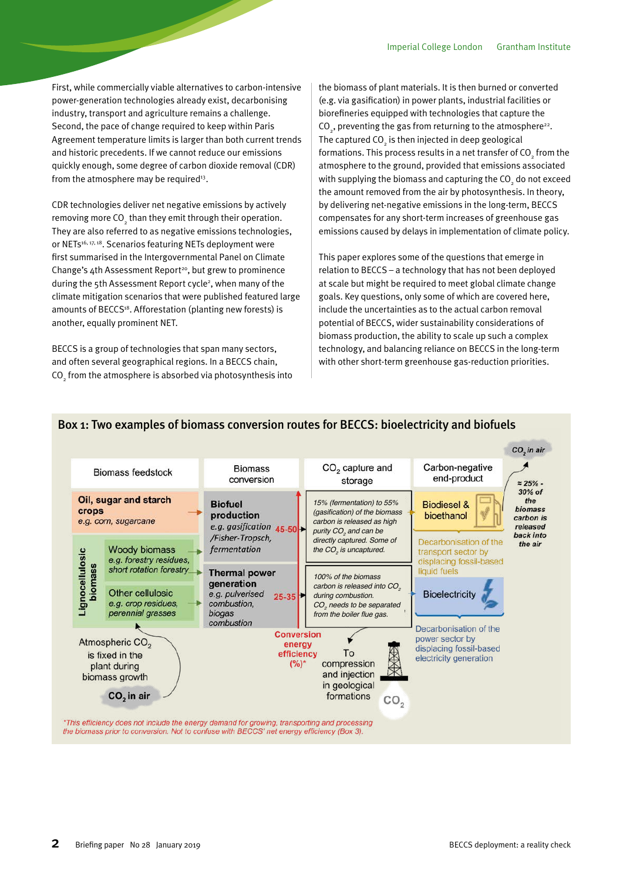First, while commercially viable alternatives to carbon-intensive power-generation technologies already exist, decarbonising industry, transport and agriculture remains a challenge. Second, the pace of change required to keep within Paris Agreement temperature limits is larger than both current trends and historic precedents. If we cannot reduce our emissions quickly enough, some degree of carbon dioxide removal (CDR) from the atmosphere may be required<sup>13</sup>.

CDR technologies deliver net negative emissions by actively removing more CO $_{_2}$  than they emit through their operation. They are also referred to as negative emissions technologies, or NETs<sup>16, 17, 18</sup>. Scenarios featuring NETs deployment were first summarised in the Intergovernmental Panel on Climate Change's  $4th$  Assessment Report<sup>20</sup>, but grew to prominence during the 5th Assessment Report cycle<sup>2</sup>, when many of the climate mitigation scenarios that were published featured large amounts of BECCS<sup>18</sup>. Afforestation (planting new forests) is another, equally prominent NET.

BECCS is a group of technologies that span many sectors, and often several geographical regions. In a BECCS chain, CO $_{\rm 2}$  from the atmosphere is absorbed via photosynthesis into the biomass of plant materials. It is then burned or converted (e.g. via gasification) in power plants, industrial facilities or biorefineries equipped with technologies that capture the  $CO<sub>2</sub>$ , preventing the gas from returning to the atmosphere<sup>22</sup>. The captured CO<sub>2</sub> is then injected in deep geological formations. This process results in a net transfer of  $\mathrm{CO}_2^{}$  from the atmosphere to the ground, provided that emissions associated with supplying the biomass and capturing the CO<sub>2</sub> do not exceed the amount removed from the air by photosynthesis. In theory, by delivering net-negative emissions in the long-term, BECCS compensates for any short-term increases of greenhouse gas emissions caused by delays in implementation of climate policy.

This paper explores some of the questions that emerge in relation to BECCS – a technology that has not been deployed at scale but might be required to meet global climate change goals. Key questions, only some of which are covered here, include the uncertainties as to the actual carbon removal potential of BECCS, wider sustainability considerations of biomass production, the ability to scale up such a complex technology, and balancing reliance on BECCS in the long-term with other short-term greenhouse gas-reduction priorities.



#### Box 1: Two examples of biomass conversion routes for BECCS: bioelectricity and biofuels

the biomass prior to conversion. Not to confuse with BECCS' net energy efficiency (Box 3).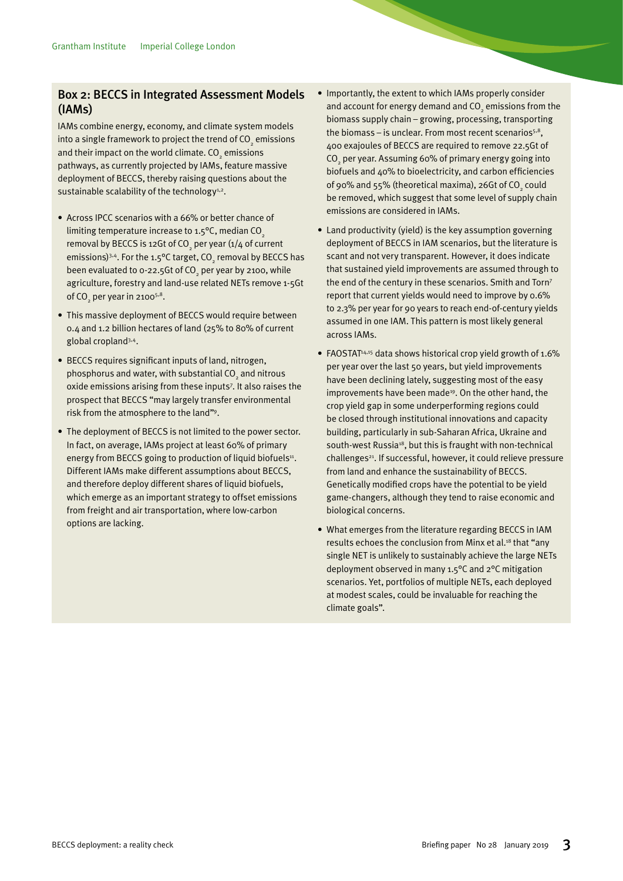#### Box 2: BECCS in Integrated Assessment Models (IAMs)

IAMs combine energy, economy, and climate system models into a single framework to project the trend of CO<sub>2</sub> emissions and their impact on the world climate. CO<sub>2</sub> emissions pathways, as currently projected by IAMs, feature massive deployment of BECCS, thereby raising questions about the sustainable scalability of the technology<sup>1,2</sup>.

- Across IPCC scenarios with a 66% or better chance of limiting temperature increase to  $1.5^{\circ}$ C, median CO<sub>2</sub> removal by BECCS is 12Gt of CO<sub>2</sub> per year (1/4 of current emissions) $^{3,4}$ . For the 1.5°C target, CO<sub>2</sub> removal by BECCS has been evaluated to 0-22.5Gt of CO<sub>2</sub> per year by 2100, while agriculture, forestry and land-use related NETs remove 1-5Gt of CO<sub>2</sub> per year in 2100<sup>5,8</sup>.
- This massive deployment of BECCS would require between 0.4 and 1.2 billion hectares of land (25% to 80% of current global cropland3,4.
- BECCS requires significant inputs of land, nitrogen, phosphorus and water, with substantial CO<sub>2</sub> and nitrous oxide emissions arising from these inputs7 . It also raises the prospect that BECCS "may largely transfer environmental risk from the atmosphere to the land"9 .
- The deployment of BECCS is not limited to the power sector. In fact, on average, IAMs project at least 60% of primary energy from BECCS going to production of liquid biofuels<sup>11</sup>. Different IAMs make different assumptions about BECCS, and therefore deploy different shares of liquid biofuels, which emerge as an important strategy to offset emissions from freight and air transportation, where low-carbon options are lacking.
- Importantly, the extent to which IAMs properly consider and account for energy demand and  $\mathrm{CO}_2$  emissions from the biomass supply chain – growing, processing, transporting the biomass – is unclear. From most recent scenarios $5,8$ , 400 exajoules of BECCS are required to remove 22.5Gt of  $\mathrm{CO}_2$  per year. Assuming 60% of primary energy going into biofuels and 40% to bioelectricity, and carbon efficiencies of 90% and 55% (theoretical maxima), 26Gt of CO<sub>2</sub> could be removed, which suggest that some level of supply chain emissions are considered in IAMs.
- Land productivity (yield) is the key assumption governing deployment of BECCS in IAM scenarios, but the literature is scant and not very transparent. However, it does indicate that sustained yield improvements are assumed through to the end of the century in these scenarios. Smith and Torn7 report that current yields would need to improve by 0.6% to 2.3% per year for 90 years to reach end-of-century yields assumed in one IAM. This pattern is most likely general across IAMs.
- FAOSTAT<sup>14,15</sup> data shows historical crop yield growth of 1.6% per year over the last 50 years, but yield improvements have been declining lately, suggesting most of the easy improvements have been made<sup>19</sup>. On the other hand, the crop yield gap in some underperforming regions could be closed through institutional innovations and capacity building, particularly in sub-Saharan Africa, Ukraine and south-west Russia<sup>18</sup>, but this is fraught with non-technical challenges<sup>21</sup>. If successful, however, it could relieve pressure from land and enhance the sustainability of BECCS. Genetically modified crops have the potential to be yield game-changers, although they tend to raise economic and biological concerns.
- What emerges from the literature regarding BECCS in IAM results echoes the conclusion from Minx et al.<sup>18</sup> that "any single NET is unlikely to sustainably achieve the large NETs deployment observed in many 1.5°C and 2°C mitigation scenarios. Yet, portfolios of multiple NETs, each deployed at modest scales, could be invaluable for reaching the climate goals".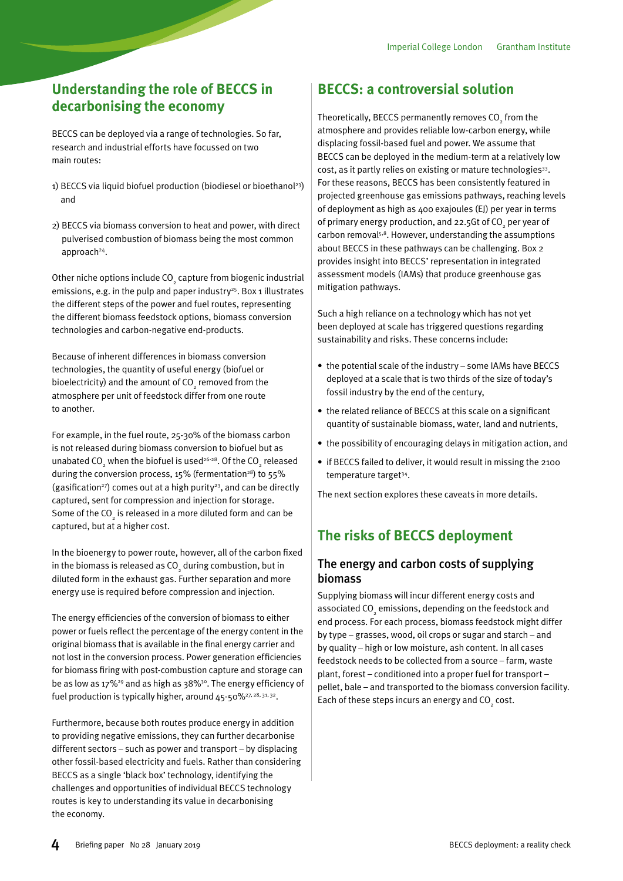## <span id="page-3-0"></span>**Understanding the role of BECCS in decarbonising the economy**

BECCS can be deployed via a range of technologies. So far, research and industrial efforts have focussed on two main routes:

- 1) BECCS via liquid biofuel production (biodiesel or bioethanol<sup>23</sup>) and
- 2) BECCS via biomass conversion to heat and power, with direct pulverised combustion of biomass being the most common approach<sup>24</sup>.

Other niche options include  $\mathrm{CO}_2$  capture from biogenic industrial emissions, e.g. in the pulp and paper industry<sup>25</sup>. Box 1 illustrates the different steps of the power and fuel routes, representing the different biomass feedstock options, biomass conversion technologies and carbon-negative end-products.

Because of inherent differences in biomass conversion technologies, the quantity of useful energy (biofuel or bioelectricity) and the amount of CO $_{_2}$  removed from the atmosphere per unit of feedstock differ from one route to another.

For example, in the fuel route, 25-30% of the biomass carbon is not released during biomass conversion to biofuel but as unabated CO $_{_2}$  when the biofuel is used $^{26\cdot 28}.$  Of the CO $_{_2}$  released during the conversion process, 15% (fermentation<sup>28</sup>) to 55% (gasification<sup>27</sup>) comes out at a high purity<sup>23</sup>, and can be directly captured, sent for compression and injection for storage. Some of the CO $_{_2}$  is released in a more diluted form and can be captured, but at a higher cost.

In the bioenergy to power route, however, all of the carbon fixed in the biomass is released as CO $\frac{1}{2}$  during combustion, but in diluted form in the exhaust gas. Further separation and more energy use is required before compression and injection.

The energy efficiencies of the conversion of biomass to either power or fuels reflect the percentage of the energy content in the original biomass that is available in the final energy carrier and not lost in the conversion process. Power generation efficiencies for biomass firing with post-combustion capture and storage can be as low as 17%29 and as high as 38%30. The energy efficiency of fuel production is typically higher, around  $45-50\frac{627}{7}$ ,  $28, 31, 32$ .

Furthermore, because both routes produce energy in addition to providing negative emissions, they can further decarbonise different sectors – such as power and transport – by displacing other fossil-based electricity and fuels. Rather than considering BECCS as a single 'black box' technology, identifying the challenges and opportunities of individual BECCS technology routes is key to understanding its value in decarbonising the economy.

## **BECCS: a controversial solution**

Theoretically, BECCS permanently removes CO $_{_2}$  from the atmosphere and provides reliable low-carbon energy, while displacing fossil-based fuel and power. We assume that BECCS can be deployed in the medium-term at a relatively low cost, as it partly relies on existing or mature technologies<sup>33</sup>. For these reasons, BECCS has been consistently featured in projected greenhouse gas emissions pathways, reaching levels of deployment as high as 400 exajoules (EJ) per year in terms of primary energy production, and 22.5Gt of CO<sub>2</sub> per year of carbon removal<sup>5,8</sup>. However, understanding the assumptions about BECCS in these pathways can be challenging. Box 2 provides insight into BECCS' representation in integrated assessment models (IAMs) that produce greenhouse gas mitigation pathways.

Such a high reliance on a technology which has not yet been deployed at scale has triggered questions regarding sustainability and risks. These concerns include:

- the potential scale of the industry some IAMs have BECCS deployed at a scale that is two thirds of the size of today's fossil industry by the end of the century,
- the related reliance of BECCS at this scale on a significant quantity of sustainable biomass, water, land and nutrients,
- the possibility of encouraging delays in mitigation action, and
- if BECCS failed to deliver, it would result in missing the 2100 temperature target<sup>34</sup>.

The next section explores these caveats in more details.

## **The risks of BECCS deployment**

#### The energy and carbon costs of supplying biomass

Supplying biomass will incur different energy costs and associated CO $_{_2}$  emissions, depending on the feedstock and end process. For each process, biomass feedstock might differ by type – grasses, wood, oil crops or sugar and starch – and by quality – high or low moisture, ash content. In all cases feedstock needs to be collected from a source – farm, waste plant, forest – conditioned into a proper fuel for transport – pellet, bale – and transported to the biomass conversion facility. Each of these steps incurs an energy and  $\mathrm{CO}_2^{\phantom{\dag}}$  cost.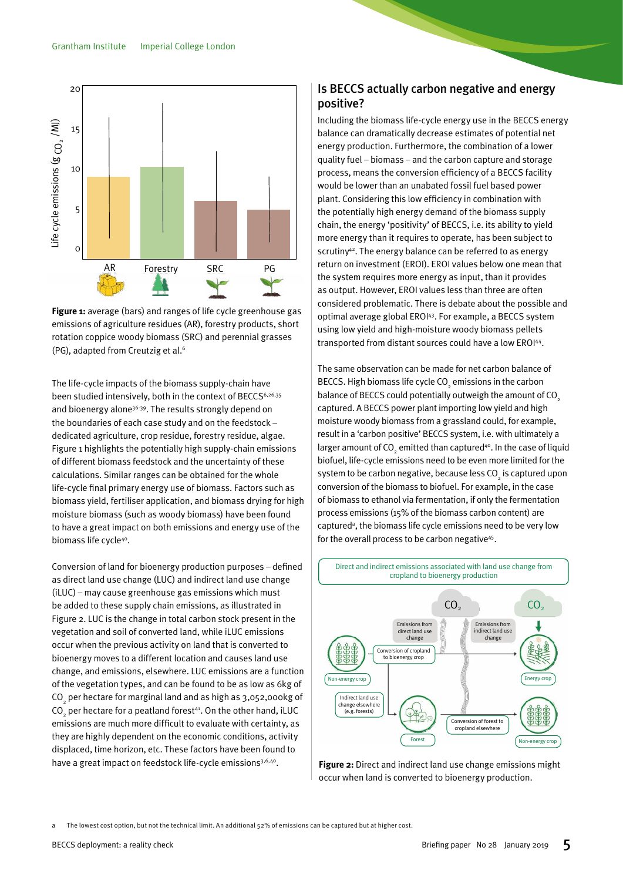

emissions of agriculture residues (AR), forestry products, short rotation coppice woody biomass (SRC) and perennial grasses  $(PG)$ , adapted from Creutzig et al. $^6$ **Figure 1:** average (bars) and ranges of life cycle greenhouse gas

 $\mathbb{R}^2\left( \mathbb{R}^2; \mathbb{R}^2; \mathbb{R}^2; \mathbb{R}^2; \mathbb{R}^2; \mathbb{R}^2; \mathbb{R}^2; \mathbb{R}^2; \mathbb{R}^2; \mathbb{R}^2; \mathbb{R}^2; \mathbb{R}^2; \mathbb{R}^2; \mathbb{R}^2; \mathbb{R}^2; \mathbb{R}^2; \mathbb{R}^2; \mathbb{R}^2; \mathbb{R}^2; \mathbb{R}^2; \mathbb{R}^2; \mathbb{R}^2; \mathbb{R}^2; \math$ 

The life-cycle impacts of the biomass supply-chain have been studied intensively, both in the context of BECCS<sup>6,26,35</sup> and bioenergy alone $^{36\cdot 39}.$  The results strongly depend on the boundaries of each case study and on the feedstock –  $\,$ dedicated agriculture, crop residue, forestry residue, algae.<br>E Figure 1 highlights the potentially high supply-chain emissions of different biomass feedstock and the uncertainty of these  $\epsilon$ alculations. Similar ranges can be obtained for the whole  $\epsilon$ life-cycle final primary energy use of biomass. Factors such as are eyere miarprimary energy ase or biomassit ractors sacri as<br>biomass yield, fertiliser application, and biomass drying for high moisture biomass (such as woody biomass) have been found to have a great impact on both emissions and energy use of the biomass life cycle<sup>40</sup>.  $\mathsf{S}$  life cycle<sup>40</sup>.

.<br>Conversion of land for bioenergy production purposes – defined as direct land use change (LUC) and indirect land use change (iLUC) – may cause greenhouse gas emissions which must be added to these supply chain emissions, as illustrated in<br>F Figure 2. LUC is the change in total carbon stock present in the vegetation and soil of converted land, while iLUC emissions occur when the previous activity on land that is converted to bioenergy moves to a different location and causes land use change, and emissions, elsewhere. LUC emissions are a function  $\mathcal{L}$ of the vegetation types, and can be found to be as low as 6kg of CO<sub>2</sub> per hectare for marginal land and as high as 3,052,000kg of CO<sub>2</sub> per hectare for a peatland forest<sup>41</sup>. On the other hand, iLUC emissions are much more difficult to evaluate with certainty, as they are highly dependent on the economic conditions, activity *M3 )-,(#%1\$1("8(ABCCD(0,:+"9<,&\** displaced, time horizon, etc. These factors have been found to have a great impact on feedstock life-cycle emissions<sup>3,6,40</sup>.

#### Is BECCS actually carbon negative and energy positive?  $\mathsf{111} \times \mathsf{22}$ :

%9(()+2-6!82\*,0::!72))! 2-391!&2>>'1'-.!'-'16+! 3\*:.:! 0-&! 0::\*320.'&! \$IB! ',2::2\*-:E!

Including the biomass life-cycle energy use in the BECCS energy balance can dramatically decrease estimates of potential net<br>:00010-004 decline Forth concern the conditional conditions energy production. Furthermore, the combination of a lower energy preddenem randmenters, the completed of a reverting processes.<br>quality fuel – biomass – and the carbon capture and storage process, means the conversion efficiency of a BECCS facility would be lower than an unabated fossil fuel based power plant. Considering this low efficiency in combination with  $\frac{1}{2}$ the potentially high energy demand of the biomass supply are potentially high energy demand of the biomass supply<br>chain, the energy 'positivity' of BECCS, i.e. its ability to yield more energy than it requires to operate, has been subject to scrutiny<sup>42</sup>. The energy balance can be referred to as energy return on investment (EROI). EROI values below one mean that the system requires more energy as input, than it provides as output. However, EROI values less than three are often considered problematic. There is debate about the possible and optimal average global EROI43. For example, a BECCS system optimal average global ENOPT. For example, a BECCS system<br>using low yield and high-moisture woody biomass pellets  $\frac{1}{2}$  transported from distant sources could have a low EROI<sup>44</sup>.

The same observation can be made for net carbon balance of BECCS. High biomass life cycle CO2 emissions in the carbon 4264)264.:! .4'! (\*.'-.20))+! 4264! :9(()+M3402-! balance of BECCS could potentially outweigh the amount of CO<sub>2</sub> anance of exercise come positions, cannot make an embedded by  $\frac{1}{2}$  captured. A BECCS power plant importing low yield and high moisture woody biomass from a grassland could, for example, result in a 'carbon positive' BECCS system, i.e. with ultimately a larger amount of  $CO<sub>2</sub>$  emitted than captured<sup>40</sup>. In the case of liquid arger amount of  $\mathbb{C}_2^{\times}$  emitted than expraised  $\cdot$  in the case of indirections biofuel, life-cycle emissions need to be even more limited for the system to be carbon negative, because less  $CO<sub>2</sub>$  is captured upon system to be carbon negative, because less  $CO<sub>2</sub>$  is captured upon conversion of the biomass to biofuel. For example, in the case of biomass to ethanol via fermentation, if only the fermentation<br> $\frac{3}{2}$ process emissions (15% of the biomass carbon content) are process emissions  $\chi_2$  to or the biomass carbon content, are<br>captured<sup>a</sup>, the biomass life cycle emissions need to be very low captured, the biomass life tycle emissions need to be very low<br>for the overall process to be carbon negative<sup>45</sup>. ca



Figure 2: Direct and indirect land use change emissions might occur when land is converted to bioenergy production.

The lowest cost option, but not the technical limit. An additional 52% of emissions can be captured but at higher cost.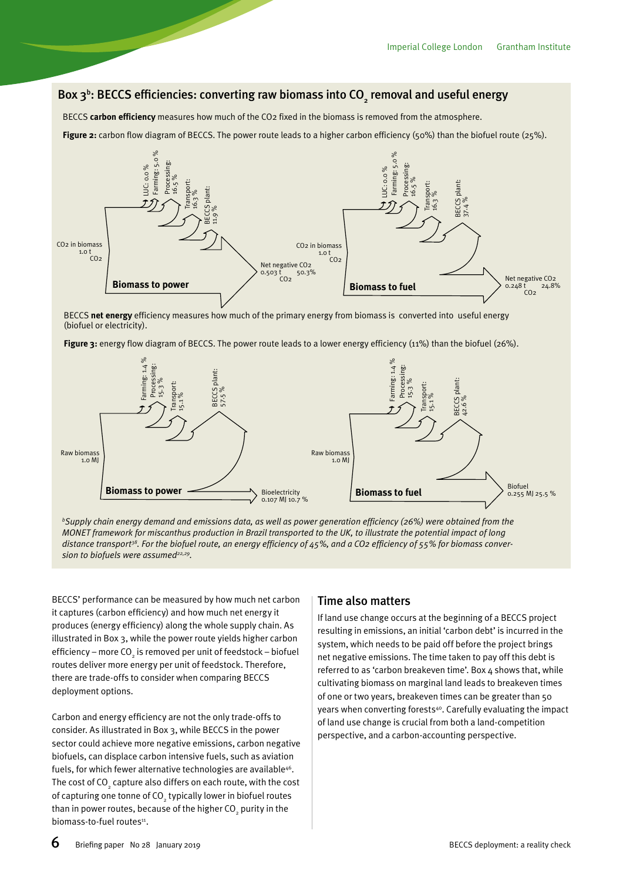## Box 3<sup>b</sup>: BECCS efficiencies: converting raw biomass into CO<sub>2</sub> removal and useful energy

BECCS **carbon efficiency** measures how much of the CO2 fixed in the biomass is removed from the atmosphere.

**Figure 2:** carbon flow diagram of BECCS. The power route leads to a higher carbon efficiency (50%) than the biofuel route (25%).



BECCS **net energy** efficiency measures how much of the primary energy from biomass is converted into useful energy (biofuel or electricity).

Figure 3: energy flow diagram of BECCS. The power route leads to a lower energy efficiency (11%) than the biofuel (26%).



*b Supply chain energy demand and emissions data, as well as power generation efficiency (26%) were obtained from the MONET framework for miscanthus production in Brazil transported to the UK, to illustrate the potential impact of long*  distance transport<sup>38</sup>. For the biofuel route, an energy efficiency of 45%, and a CO2 efficiency of 55% for biomass conver-

BECCS' performance can be measured by how much net carbon it captures (carbon efficiency) and how much net energy it produces (energy efficiency) along the whole supply chain. As illustrated in Box 3, while the power route yields higher carbon efficiency – more CO $_{_2}$  is removed per unit of feedstock – biofuel routes deliver more energy per unit of feedstock. Therefore, there are trade-offs to consider when comparing BECCS deployment options.

Carbon and energy efficiency are not the only trade-offs to consider. As illustrated in Box 3, while BECCS in the power sector could achieve more negative emissions, carbon negative biofuels, can displace carbon intensive fuels, such as aviation fuels, for which fewer alternative technologies are available<sup>46</sup>. The cost of CO $_{_2}$  capture also differs on each route, with the cost of capturing one tonne of CO $\mathrm{_{_2}}$ typically lower in biofuel routes than in power routes, because of the higher CO $_{_2}$  purity in the biomass-to-fuel routes<sup>11</sup>.

#### Time also matters

If land use change occurs at the beginning of a BECCS project resulting in emissions, an initial 'carbon debt' is incurred in the system, which needs to be paid off before the project brings net negative emissions. The time taken to pay off this debt is referred to as 'carbon breakeven time'. Box 4 shows that, while cultivating biomass on marginal land leads to breakeven times of one or two years, breakeven times can be greater than 50 years when converting forests<sup>40</sup>. Carefully evaluating the impact of land use change is crucial from both a land-competition perspective, and a carbon-accounting perspective.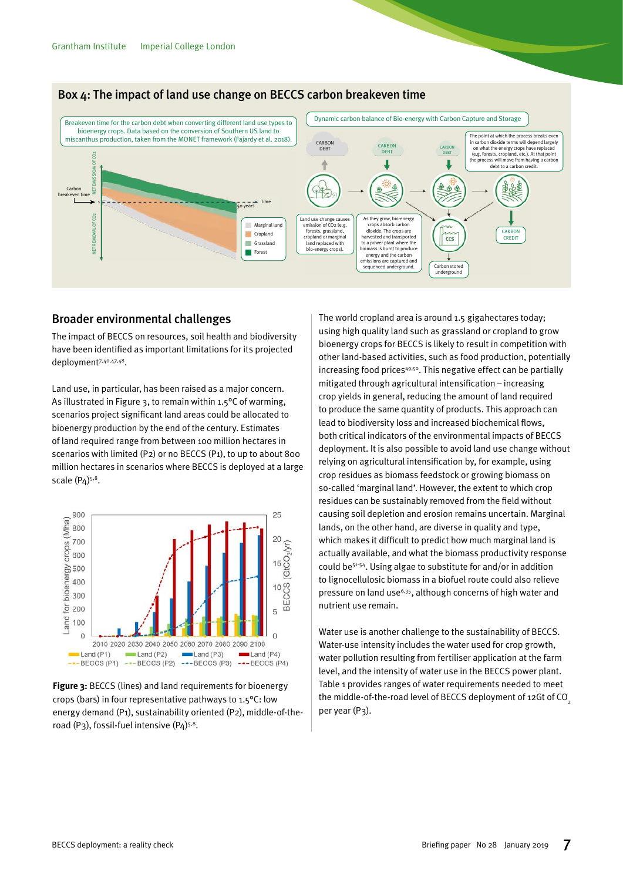

## Box 4: The impact of land use change on BECCS carbon breakeven time

### Broader environmental challenges

The impact of BECCS on resources, soil health and biodiversity The impact of BEEES of resources, son health and biodiversity<br>have been identified as important limitations for its projected  $\mathsf{depth}^{7,40,47,48}.$ 

Land use, in particular, has been raised as a major concern. As illustrated in Figure 3, to remain within 1.5°C of warming, scenarios project significant land areas could be allocated to bioenergy production by the end of the century. Estimates of land required range from between 100 million hectares in range from between 100 million hectares in scenarios with limited (P2) or no BECCS (P1), to up to about 800 scenarios with limited (P2) or no BECCS (P1), million hectares in scenarios where BECCS is deployed at a large scale  $(P_4)^{5,8}$ .



**Figure 3:** BECCS (lines) and land **Figure 3:** BECCS (lines) and land requirements for bioenergy crops (bars) in four representative pathways to 1.5°C: low road (P3), fossil-fuel intensive (P4)<sup>5,8</sup>. energy demand (P1), sustainability oriented (P2), middle-of-the-

The world cropland area is around 1.5 gigahectares today; using high quality land such as grassland or cropland to grow bioenergy crops for BECCS is likely to result in competition with other land-based activities, such as food production, potentially increasing food prices49,50. This negative effect can be partially mitigated through agricultural intensification – increasing crop yields in general, reducing the amount of land required to produce the same quantity of products. This approach can lead to biodiversity loss and increased biochemical flows, both critical indicators of the environmental impacts of BECCS deployment. It is also possible to avoid land use change without relying on agricultural intensification by, for example, using crop residues as biomass feedstock or growing biomass on so-called 'marginal land'. However, the extent to which crop residues can be sustainably removed from the field without causing soil depletion and erosion remains uncertain. Marginal lands, on the other hand, are diverse in quality and type, which makes it difficult to predict how much marginal land is actually available, and what the biomass productivity response could be51-54. Using algae to substitute for and/or in addition to lignocellulosic biomass in a biofuel route could also relieve pressure on land use<sup>6,35</sup>, although concerns of high water and nutrient use remain.

 $K_{\rm eff} = 2.3 \times 10^{-4} \, \rm{M_{\odot}}$ 

Water use is another challenge to the sustainability of BECCS. Water-use intensity includes the water used for crop growth, water pollution resulting from fertiliser application at the farm level, and the intensity of water use in the BECCS power plant. Table 1 provides ranges of water requirements needed to meet the middle-of-the-road level of BECCS deployment of 12Gt of CO<sub>2</sub> per year (P3).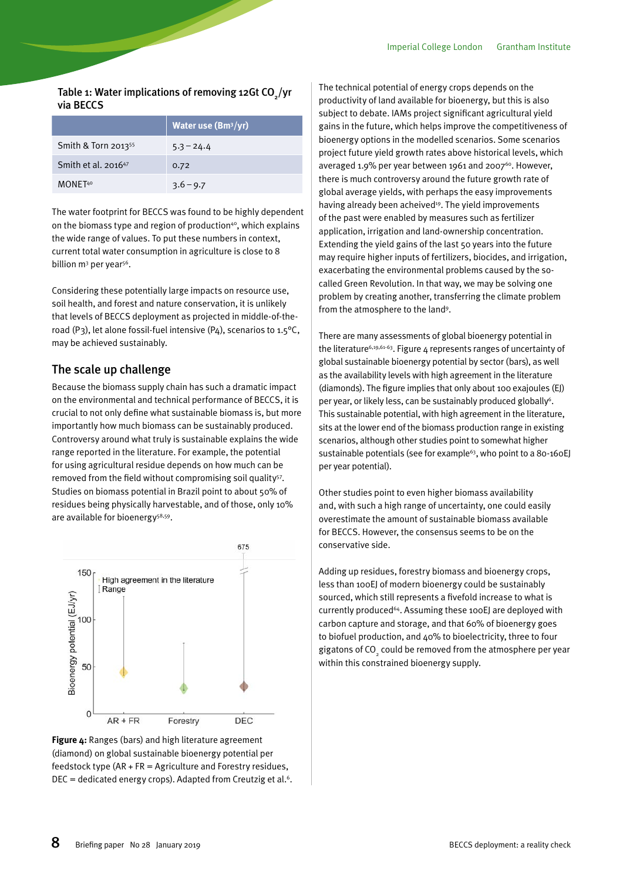Table 1: Water implications of removing 12Gt CO $_{_2}/$ yr via BECCS

|                                 | <b>Water use (Bm<sup>3</sup>/yr)</b> |
|---------------------------------|--------------------------------------|
| Smith & Torn 2013 <sup>55</sup> | $5.3 - 24.4$                         |
| Smith et al. 2016 <sup>47</sup> | 0.72                                 |
| MONF <sub>T40</sub>             | $3.6 - 9.7$                          |

The water footprint for BECCS was found to be highly dependent on the biomass type and region of production $40$ , which explains the wide range of values. To put these numbers in context, current total water consumption in agriculture is close to 8 billion m<sup>3</sup> per year<sup>56</sup>.

Considering these potentially large impacts on resource use, soil health, and forest and nature conservation, it is unlikely that levels of BECCS deployment as projected in middle-of-theroad (P3), let alone fossil-fuel intensive (P4), scenarios to  $1.5^{\circ}$ C, may be achieved sustainably.

#### The scale up challenge

Because the biomass supply chain has such a dramatic impact on the environmental and technical performance of BECCS, it is crucial to not only define what sustainable biomass is, but more importantly how much biomass can be sustainably produced. Controversy around what truly is sustainable explains the wide range reported in the literature. For example, the potential for using agricultural residue depends on how much can be removed from the field without compromising soil quality<sup>57</sup>. Studies on biomass potential in Brazil point to about 50% of residues being physically harvestable, and of those, only 10% are available for bioenergy<sup>58,59</sup>.



**Figure 5:** Ranges (bars) and high literature (diamond) on global sustainable bioenergy potential per  $\overline{\phantom{a}}$  feedstock type (AR + FR = Agriculture and Forestry residues, DEC = dedicated energy crops). Adapted from Creutzig et al.<sup>6</sup>. **Figure 4:** Ranges (bars) and high literature agreement

The technical potential of energy crops depends on the productivity of land available for bioenergy, but this is also subject to debate. IAMs project significant agricultural yield gains in the future, which helps improve the competitiveness of bioenergy options in the modelled scenarios. Some scenarios project future yield growth rates above historical levels, which averaged 1.9% per year between 1961 and 2007<sup>60</sup>. However, there is much controversy around the future growth rate of global average yields, with perhaps the easy improvements having already been acheived<sup>19</sup>. The yield improvements of the past were enabled by measures such as fertilizer application, irrigation and land-ownership concentration. Extending the yield gains of the last 50 years into the future may require higher inputs of fertilizers, biocides, and irrigation, exacerbating the environmental problems caused by the socalled Green Revolution. In that way, we may be solving one problem by creating another, transferring the climate problem from the atmosphere to the land<sup>9</sup>.

There are many assessments of global bioenergy potential in the literature<sup>6,19,61-63</sup>. Figure 4 represents ranges of uncertainty of global sustainable bioenergy potential by sector (bars), as well as the availability levels with high agreement in the literature (diamonds). The figure implies that only about 100 exajoules (EJ) per year, or likely less, can be sustainably produced globally<sup>6</sup>. This sustainable potential, with high agreement in the literature, sits at the lower end of the biomass production range in existing scenarios, although other studies point to somewhat higher sustainable potentials (see for example<sup>63</sup>, who point to a 80-160E) per year potential).

Other studies point to even higher biomass availability and, with such a high range of uncertainty, one could easily overestimate the amount of sustainable biomass available for BECCS. However, the consensus seems to be on the conservative side.

Adding up residues, forestry biomass and bioenergy crops, less than 100EJ of modern bioenergy could be sustainably sourced, which still represents a fivefold increase to what is currently produced<sup>64</sup>. Assuming these 100EJ are deployed with carbon capture and storage, and that 60% of bioenergy goes to biofuel production, and 40% to bioelectricity, three to four gigatons of CO<sub>2</sub> could be removed from the atmosphere per year within this constrained bioenergy supply.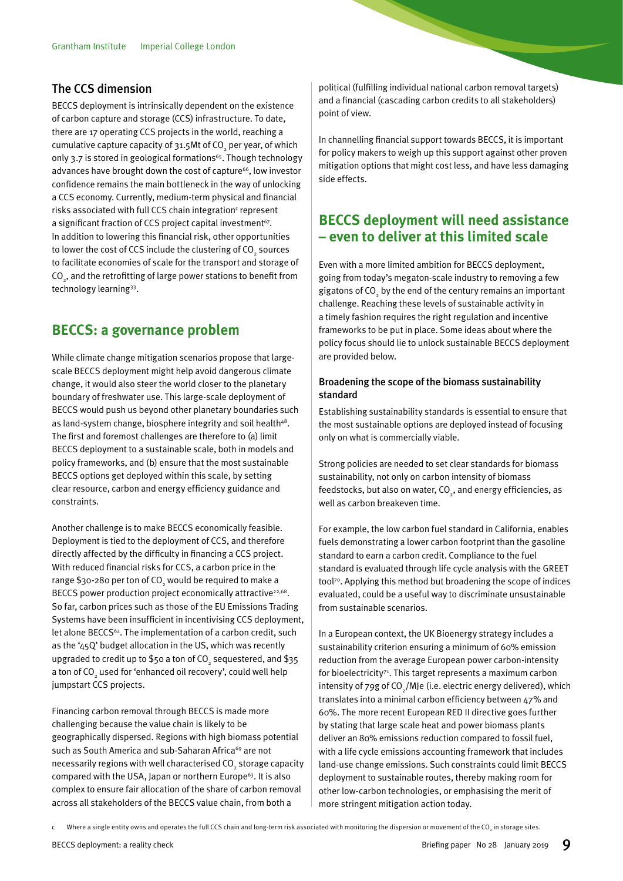#### <span id="page-8-0"></span>The CCS dimension

BECCS deployment is intrinsically dependent on the existence of carbon capture and storage (CCS) infrastructure. To date, there are 17 operating CCS projects in the world, reaching a cumulative capture capacity of 31.5Mt of CO $_{_2}$  per year, of which only 3.7 is stored in geological formations<sup>65</sup>. Though technology advances have brought down the cost of capture<sup>66</sup>, low investor confidence remains the main bottleneck in the way of unlocking a CCS economy. Currently, medium-term physical and financial risks associated with full CCS chain integration<sup>c</sup> represent a significant fraction of CCS project capital investment<sup>67</sup>. In addition to lowering this financial risk, other opportunities to lower the cost of CCS include the clustering of CO<sub>2</sub> sources to facilitate economies of scale for the transport and storage of CO $_{_2}$ , and the retrofitting of large power stations to benefit from technology learning33.

## **BECCS: a governance problem**

While climate change mitigation scenarios propose that largescale BECCS deployment might help avoid dangerous climate change, it would also steer the world closer to the planetary boundary of freshwater use. This large-scale deployment of BECCS would push us beyond other planetary boundaries such as land-system change, biosphere integrity and soil health<sup>48</sup>. The first and foremost challenges are therefore to (a) limit BECCS deployment to a sustainable scale, both in models and policy frameworks, and (b) ensure that the most sustainable BECCS options get deployed within this scale, by setting clear resource, carbon and energy efficiency guidance and constraints.

Another challenge is to make BECCS economically feasible. Deployment is tied to the deployment of CCS, and therefore directly affected by the difficulty in financing a CCS project. With reduced financial risks for CCS, a carbon price in the range \$30-280 per ton of CO $_{_2}$  would be required to make a BECCS power production project economically attractive<sup>22,68</sup>. So far, carbon prices such as those of the EU Emissions Trading Systems have been insufficient in incentivising CCS deployment, let alone BECCS<sup>62</sup>. The implementation of a carbon credit, such as the '45Q' budget allocation in the US, which was recently upgraded to credit up to \$50 a ton of CO $_{_2}$  sequestered, and \$35 a ton of CO $_{_2}$  used for 'enhanced oil recovery', could well help jumpstart CCS projects.

Financing carbon removal through BECCS is made more challenging because the value chain is likely to be geographically dispersed. Regions with high biomass potential such as South America and sub-Saharan Africa<sup>69</sup> are not necessarily regions with well characterised CO $_{_2}$  storage capacity compared with the USA, Japan or northern Europe<sup>63</sup>. It is also complex to ensure fair allocation of the share of carbon removal across all stakeholders of the BECCS value chain, from both a

political (fulfilling individual national carbon removal targets) and a financial (cascading carbon credits to all stakeholders) point of view.

In channelling financial support towards BECCS, it is important for policy makers to weigh up this support against other proven mitigation options that might cost less, and have less damaging side effects.

## **BECCS deployment will need assistance – even to deliver at this limited scale**

Even with a more limited ambition for BECCS deployment, going from today's megaton-scale industry to removing a few gigatons of CO<sub>2</sub> by the end of the century remains an important challenge. Reaching these levels of sustainable activity in a timely fashion requires the right regulation and incentive frameworks to be put in place. Some ideas about where the policy focus should lie to unlock sustainable BECCS deployment are provided below.

#### Broadening the scope of the biomass sustainability standard

Establishing sustainability standards is essential to ensure that the most sustainable options are deployed instead of focusing only on what is commercially viable.

Strong policies are needed to set clear standards for biomass sustainability, not only on carbon intensity of biomass feedstocks, but also on water,  $CO<sub>2</sub>$ , and energy efficiencies, as well as carbon breakeven time.

For example, the low carbon fuel standard in California, enables fuels demonstrating a lower carbon footprint than the gasoline standard to earn a carbon credit. Compliance to the fuel standard is evaluated through life cycle analysis with the GREET tool70. Applying this method but broadening the scope of indices evaluated, could be a useful way to discriminate unsustainable from sustainable scenarios.

In a European context, the UK Bioenergy strategy includes a sustainability criterion ensuring a minimum of 60% emission reduction from the average European power carbon-intensity for bioelectricity $71$ . This target represents a maximum carbon intensity of 79g of CO<sub>2</sub>/MJe (i.e. electric energy delivered), which translates into a minimal carbon efficiency between 47% and 60%. The more recent European RED II directive goes further by stating that large scale heat and power biomass plants deliver an 80% emissions reduction compared to fossil fuel, with a life cycle emissions accounting framework that includes land-use change emissions. Such constraints could limit BECCS deployment to sustainable routes, thereby making room for other low-carbon technologies, or emphasising the merit of more stringent mitigation action today.

 $\mathfrak c$  Where a single entity owns and operates the full CCS chain and long-term risk associated with monitoring the dispersion or movement of the CO<sub>2</sub> in storage sites.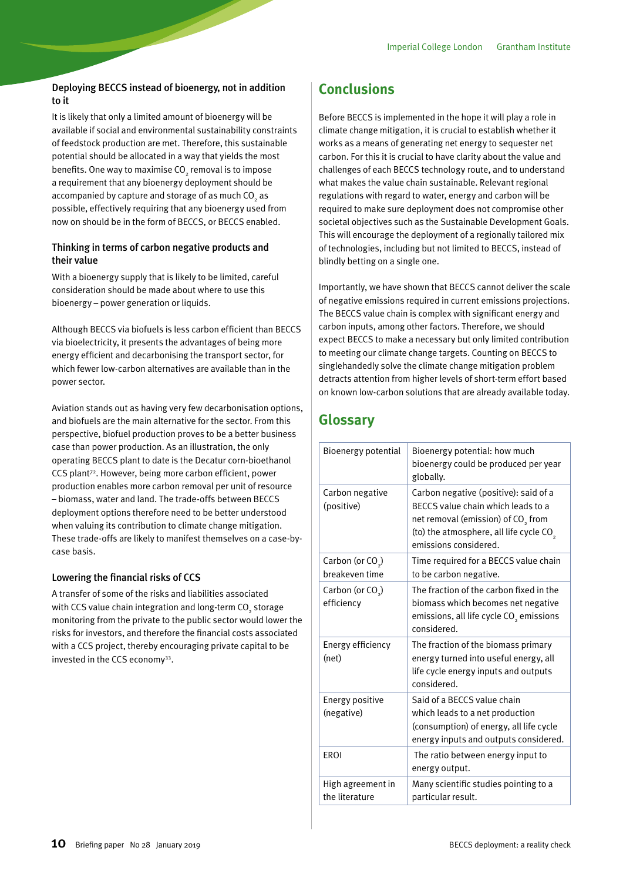#### <span id="page-9-0"></span>Deploying BECCS instead of bioenergy, not in addition to it

It is likely that only a limited amount of bioenergy will be available if social and environmental sustainability constraints of feedstock production are met. Therefore, this sustainable potential should be allocated in a way that yields the most benefits. One way to maximise CO $\mathrm{_{2}}$  removal is to impose a requirement that any bioenergy deployment should be accompanied by capture and storage of as much CO $_{_2}$  as possible, effectively requiring that any bioenergy used from now on should be in the form of BECCS, or BECCS enabled.

#### Thinking in terms of carbon negative products and their value

With a bioenergy supply that is likely to be limited, careful consideration should be made about where to use this bioenergy – power generation or liquids.

Although BECCS via biofuels is less carbon efficient than BECCS via bioelectricity, it presents the advantages of being more energy efficient and decarbonising the transport sector, for which fewer low-carbon alternatives are available than in the power sector.

Aviation stands out as having very few decarbonisation options, and biofuels are the main alternative for the sector. From this perspective, biofuel production proves to be a better business case than power production. As an illustration, the only operating BECCS plant to date is the Decatur corn-bioethanol CCS plant<sup>72</sup>. However, being more carbon efficient, power production enables more carbon removal per unit of resource – biomass, water and land. The trade-offs between BECCS deployment options therefore need to be better understood when valuing its contribution to climate change mitigation. These trade-offs are likely to manifest themselves on a case-bycase basis.

#### Lowering the financial risks of CCS

A transfer of some of the risks and liabilities associated with CCS value chain integration and long-term CO $_{_2}$  storage monitoring from the private to the public sector would lower the risks for investors, and therefore the financial costs associated with a CCS project, thereby encouraging private capital to be invested in the CCS economy<sup>33</sup>.

## **Conclusions**

Before BECCS is implemented in the hope it will play a role in climate change mitigation, it is crucial to establish whether it works as a means of generating net energy to sequester net carbon. For this it is crucial to have clarity about the value and challenges of each BECCS technology route, and to understand what makes the value chain sustainable. Relevant regional regulations with regard to water, energy and carbon will be required to make sure deployment does not compromise other societal objectives such as the Sustainable Development Goals. This will encourage the deployment of a regionally tailored mix of technologies, including but not limited to BECCS, instead of blindly betting on a single one.

Importantly, we have shown that BECCS cannot deliver the scale of negative emissions required in current emissions projections. The BECCS value chain is complex with significant energy and carbon inputs, among other factors. Therefore, we should expect BECCS to make a necessary but only limited contribution to meeting our climate change targets. Counting on BECCS to singlehandedly solve the climate change mitigation problem detracts attention from higher levels of short-term effort based on known low-carbon solutions that are already available today.

## **Glossary**

| Bioenergy potential                            | Bioenergy potential: how much<br>bioenergy could be produced per year<br>globally.                                                                                                                            |
|------------------------------------------------|---------------------------------------------------------------------------------------------------------------------------------------------------------------------------------------------------------------|
| Carbon negative<br>(positive)                  | Carbon negative (positive): said of a<br>BECCS value chain which leads to a<br>net removal (emission) of CO <sub>2</sub> from<br>(to) the atmosphere, all life cycle CO <sub>2</sub><br>emissions considered. |
| Carbon (or CO <sub>.</sub> )<br>breakeven time | Time required for a BECCS value chain<br>to be carbon negative.                                                                                                                                               |
| Carbon (or CO <sub>2</sub> )<br>efficiency     | The fraction of the carbon fixed in the<br>biomass which becomes net negative<br>emissions, all life cycle CO <sub>2</sub> emissions<br>considered.                                                           |
| Energy efficiency<br>(net)                     | The fraction of the biomass primary<br>energy turned into useful energy, all<br>life cycle energy inputs and outputs<br>considered.                                                                           |
| Energy positive<br>(negative)                  | Said of a BECCS value chain<br>which leads to a net production<br>(consumption) of energy, all life cycle<br>energy inputs and outputs considered.                                                            |
| <b>FROI</b>                                    | The ratio between energy input to<br>energy output.                                                                                                                                                           |
| High agreement in<br>the literature            | Many scientific studies pointing to a<br>particular result.                                                                                                                                                   |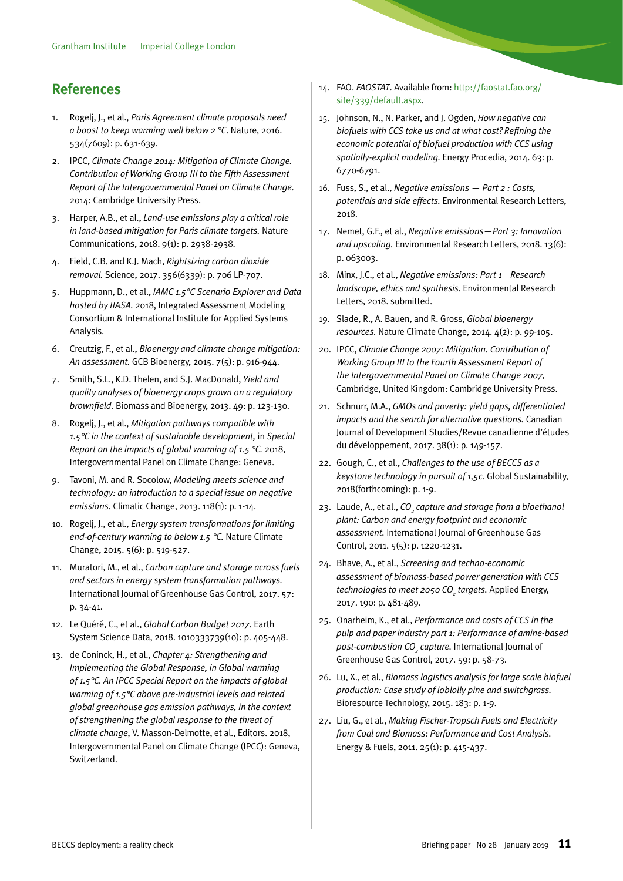## <span id="page-10-0"></span>**References**

- 1. Rogelj, J., et al., *Paris Agreement climate proposals need a boost to keep warming well below 2 °C*. Nature, 2016. 534(7609): p. 631-639.
- 2. IPCC, *Climate Change 2014: Mitigation of Climate Change. Contribution of Working Group III to the Fifth Assessment Report of the Intergovernmental Panel on Climate Change.*  2014: Cambridge University Press.
- 3. Harper, A.B., et al., *Land-use emissions play a critical role in land-based mitigation for Paris climate targets.* Nature Communications, 2018. 9(1): p. 2938-2938.
- 4. Field, C.B. and K.J. Mach, *Rightsizing carbon dioxide removal.* Science, 2017. 356(6339): p. 706 LP-707.
- 5. Huppmann, D., et al., *IAMC 1.5°C Scenario Explorer and Data hosted by IIASA.* 2018, Integrated Assessment Modeling Consortium & International Institute for Applied Systems Analysis.
- 6. Creutzig, F., et al., *Bioenergy and climate change mitigation: An assessment.* GCB Bioenergy, 2015. 7(5): p. 916-944.
- 7. Smith, S.L., K.D. Thelen, and S.J. MacDonald, *Yield and quality analyses of bioenergy crops grown on a regulatory brownfield.* Biomass and Bioenergy, 2013. 49: p. 123-130.
- 8. Rogelj, J., et al., *Mitigation pathways compatible with 1.5°C in the context of sustainable development,* in *Special Report on the impacts of global warming of 1.5 °C.* 2018, Intergovernmental Panel on Climate Change: Geneva.
- 9. Tavoni, M. and R. Socolow, *Modeling meets science and technology: an introduction to a special issue on negative emissions.* Climatic Change, 2013. 118(1): p. 1-14.
- 10. Rogelj, J., et al., *Energy system transformations for limiting end-of-century warming to below 1.5 °C.* Nature Climate Change, 2015. 5(6): p. 519-527.
- 11. Muratori, M., et al., *Carbon capture and storage across fuels and sectors in energy system transformation pathways.*  International Journal of Greenhouse Gas Control, 2017. 57: p. 34-41.
- 12. Le Quéré, C., et al., *Global Carbon Budget 2017.* Earth System Science Data, 2018. 1010333739(10): p. 405-448.
- 13. de Coninck, H., et al., *Chapter 4: Strengthening and Implementing the Global Response, in Global warming of 1.5°C. An IPCC Special Report on the impacts of global warming of 1.5°C above pre-industrial levels and related global greenhouse gas emission pathways, in the context of strengthening the global response to the threat of climate change,* V. Masson-Delmotte, et al., Editors. 2018, Intergovernmental Panel on Climate Change (IPCC): Geneva, **Switzerland**
- 14. FAO. *FAOSTAT*. Available from: http://faostat.fao.org/ site/339/default.aspx.
- 15. Johnson, N., N. Parker, and J. Ogden, *How negative can biofuels with CCS take us and at what cost? Refining the economic potential of biofuel production with CCS using spatially-explicit modeling.* Energy Procedia, 2014. 63: p. 6770-6791.
- 16. Fuss, S., et al., *Negative emissions Part 2 : Costs, potentials and side effects.* Environmental Research Letters, 2018.
- 17. Nemet, G.F., et al., *Negative emissions—Part 3: Innovation and upscaling.* Environmental Research Letters, 2018. 13(6): p. 063003.
- 18. Minx, J.C., et al., *Negative emissions: Part 1 Research landscape, ethics and synthesis.* Environmental Research Letters, 2018. submitted.
- 19. Slade, R., A. Bauen, and R. Gross, *Global bioenergy resources.* Nature Climate Change, 2014. 4(2): p. 99-105.
- 20. IPCC, *Climate Change 2007: Mitigation. Contribution of Working Group III to the Fourth Assessment Report of the Intergovernmental Panel on Climate Change 2007,*  Cambridge, United Kingdom: Cambridge University Press.
- 21. Schnurr, M.A., *GMOs and poverty: yield gaps, differentiated impacts and the search for alternative questions.* Canadian Journal of Development Studies/Revue canadienne d'études du développement, 2017. 38(1): p. 149-157.
- 22. Gough, C., et al., *Challenges to the use of BECCS as a keystone technology in pursuit of 1,5c.* Global Sustainability, 2018(forthcoming): p. 1-9.
- 23. Laude, A., et al., *CO<sub>2</sub>* capture and storage from a bioethanol *plant: Carbon and energy footprint and economic assessment.* International Journal of Greenhouse Gas Control, 2011. 5(5): p. 1220-1231.
- 24. Bhave, A., et al., *Screening and techno-economic assessment of biomass-based power generation with CCS technologies to meet 2050 CO2 targets.* Applied Energy, 2017. 190: p. 481-489.
- 25. Onarheim, K., et al., *Performance and costs of CCS in the pulp and paper industry part 1: Performance of amine-based post-combustion CO2 capture.* International Journal of Greenhouse Gas Control, 2017. 59: p. 58-73.
- 26. Lu, X., et al., *Biomass logistics analysis for large scale biofuel production: Case study of loblolly pine and switchgrass.*  Bioresource Technology, 2015. 183: p. 1-9.
- 27. Liu, G., et al., *Making Fischer-Tropsch Fuels and Electricity from Coal and Biomass: Performance and Cost Analysis.*  Energy & Fuels, 2011. 25(1): p. 415-437.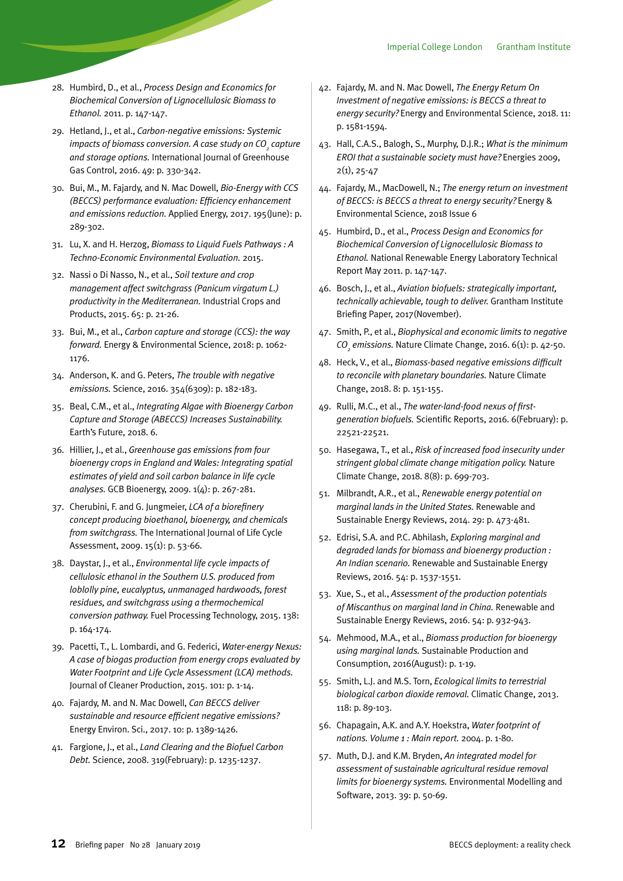- 28. Humbird, D., et al., *Process Design and Economics for Biochemical Conversion of Lignocellulosic Biomass to Ethanol.* 2011. p. 147-147.
- 29. Hetland, J., et al., *Carbon-negative emissions: Systemic impacts of biomass conversion. A case study on CO<sub>2</sub> capture and storage options.* International Journal of Greenhouse Gas Control, 2016. 49: p. 330-342.
- 30. Bui, M., M. Fajardy, and N. Mac Dowell, *Bio-Energy with CCS (BECCS) performance evaluation: Efficiency enhancement and emissions reduction.* Applied Energy, 2017. 195(June): p. 289-302.
- 31. Lu, X. and H. Herzog, *Biomass to Liquid Fuels Pathways : A Techno-Economic Environmental Evaluation.* 2015.
- 32. Nassi o Di Nasso, N., et al., *Soil texture and crop management affect switchgrass (Panicum virgatum L.) productivity in the Mediterranean.* Industrial Crops and Products, 2015. 65: p. 21-26.
- 33. Bui, M., et al., *Carbon capture and storage (CCS): the way forward.* Energy & Environmental Science, 2018: p. 1062- 1176.
- 34. Anderson, K. and G. Peters, *The trouble with negative emissions.* Science, 2016. 354(6309): p. 182-183.
- 35. Beal, C.M., et al., *Integrating Algae with Bioenergy Carbon Capture and Storage (ABECCS) Increases Sustainability.*  Earth's Future, 2018. 6.
- 36. Hillier, J., et al., *Greenhouse gas emissions from four bioenergy crops in England and Wales: Integrating spatial estimates of yield and soil carbon balance in life cycle analyses.* GCB Bioenergy, 2009. 1(4): p. 267-281.
- 37. Cherubini, F. and G. Jungmeier, *LCA of a biorefinery concept producing bioethanol, bioenergy, and chemicals from switchgrass.* The International Journal of Life Cycle Assessment, 2009. 15(1): p. 53-66.
- 38. Daystar, J., et al., *Environmental life cycle impacts of cellulosic ethanol in the Southern U.S. produced from loblolly pine, eucalyptus, unmanaged hardwoods, forest residues, and switchgrass using a thermochemical conversion pathway.* Fuel Processing Technology, 2015. 138: p. 164-174.
- 39. Pacetti, T., L. Lombardi, and G. Federici, *Water-energy Nexus: A case of biogas production from energy crops evaluated by Water Footprint and Life Cycle Assessment (LCA) methods.*  Journal of Cleaner Production, 2015. 101: p. 1-14.
- 40. Fajardy, M. and N. Mac Dowell, *Can BECCS deliver sustainable and resource efficient negative emissions?*  Energy Environ. Sci., 2017. 10: p. 1389-1426.
- 41. Fargione, J., et al., *Land Clearing and the Biofuel Carbon Debt.* Science, 2008. 319(February): p. 1235-1237.
- 42. Fajardy, M. and N. Mac Dowell, *The Energy Return On Investment of negative emissions: is BECCS a threat to energy security?* Energy and Environmental Science, 2018. 11: p. 1581-1594.
- 43. Hall, C.A.S., Balogh, S., Murphy, D.J.R.; *What is the minimum EROI that a sustainable society must have?* Energies 2009, 2(1), 25-47
- 44. Fajardy, M., MacDowell, N.; *The energy return on investment of BECCS: is BECCS a threat to energy security?* Energy & Environmental Science, 2018 Issue 6
- 45. Humbird, D., et al., *Process Design and Economics for Biochemical Conversion of Lignocellulosic Biomass to Ethanol.* National Renewable Energy Laboratory Technical Report May 2011. p. 147-147.
- 46. Bosch, J., et al., *Aviation biofuels: strategically important, technically achievable, tough to deliver.* Grantham Institute Briefing Paper, 2017(November).
- 47. Smith, P., et al., *Biophysical and economic limits to negative CO2 emissions.* Nature Climate Change, 2016. 6(1): p. 42-50.
- 48. Heck, V., et al., *Biomass-based negative emissions difficult to reconcile with planetary boundaries.* Nature Climate Change, 2018. 8: p. 151-155.
- 49. Rulli, M.C., et al., *The water-land-food nexus of firstgeneration biofuels.* Scientific Reports, 2016. 6(February): p. 22521-22521.
- 50. Hasegawa, T., et al., *Risk of increased food insecurity under stringent global climate change mitigation policy.* Nature Climate Change, 2018. 8(8): p. 699-703.
- 51. Milbrandt, A.R., et al., *Renewable energy potential on marginal lands in the United States.* Renewable and Sustainable Energy Reviews, 2014. 29: p. 473-481.
- 52. Edrisi, S.A. and P.C. Abhilash, *Exploring marginal and degraded lands for biomass and bioenergy production : An Indian scenario.* Renewable and Sustainable Energy Reviews, 2016. 54: p. 1537-1551.
- 53. Xue, S., et al., *Assessment of the production potentials of Miscanthus on marginal land in China.* Renewable and Sustainable Energy Reviews, 2016. 54: p. 932-943.
- 54. Mehmood, M.A., et al., *Biomass production for bioenergy using marginal lands.* Sustainable Production and Consumption, 2016(August): p. 1-19.
- 55. Smith, L.J. and M.S. Torn, *Ecological limits to terrestrial biological carbon dioxide removal.* Climatic Change, 2013. 118: p. 89-103.
- 56. Chapagain, A.K. and A.Y. Hoekstra, *Water footprint of nations. Volume 1 : Main report.* 2004. p. 1-80.
- 57. Muth, D.J. and K.M. Bryden, *An integrated model for assessment of sustainable agricultural residue removal limits for bioenergy systems.* Environmental Modelling and Software, 2013. 39: p. 50-69.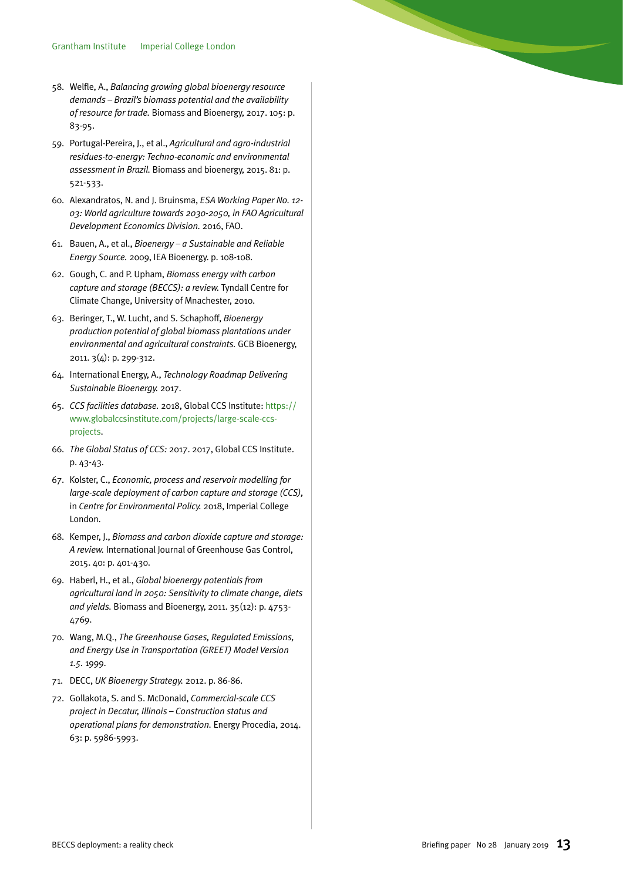- 58. Welfle, A., *Balancing growing global bioenergy resource demands – Brazil's biomass potential and the availability of resource for trade.* Biomass and Bioenergy, 2017. 105: p. 83-95.
- 59. Portugal-Pereira, J., et al., *Agricultural and agro-industrial residues-to-energy: Techno-economic and environmental assessment in Brazil.* Biomass and bioenergy, 2015. 81: p. 521-533.
- 60. Alexandratos, N. and J. Bruinsma, *ESA Working Paper No. 12- 03: World agriculture towards 2030-2050, in FAO Agricultural Development Economics Division.* 2016, FAO.
- 61. Bauen, A., et al., *Bioenergy a Sustainable and Reliable Energy Source.* 2009, IEA Bioenergy. p. 108-108.
- 62. Gough, C. and P. Upham, *Biomass energy with carbon capture and storage (BECCS): a review.* Tyndall Centre for Climate Change, University of Mnachester, 2010.
- 63. Beringer, T., W. Lucht, and S. Schaphoff, *Bioenergy production potential of global biomass plantations under environmental and agricultural constraints.* GCB Bioenergy, 2011. 3(4): p. 299-312.
- 64. International Energy, A., *Technology Roadmap Delivering Sustainable Bioenergy.* 2017.
- 65. *CCS facilities database.* 2018, Global CCS Institute: https:// www.globalccsinstitute.com/projects/large-scale-ccsprojects.
- 66. *The Global Status of CCS:* 2017. 2017, Global CCS Institute. p. 43-43.
- 67. Kolster, C., *Economic, process and reservoir modelling for large-scale deployment of carbon capture and storage (CCS),*  in *Centre for Environmental Policy.* 2018, Imperial College London.
- 68. Kemper, J., *Biomass and carbon dioxide capture and storage: A review.* International Journal of Greenhouse Gas Control, 2015. 40: p. 401-430.
- 69. Haberl, H., et al., *Global bioenergy potentials from agricultural land in 2050: Sensitivity to climate change, diets and yields.* Biomass and Bioenergy, 2011. 35(12): p. 4753- 4769.
- 70. Wang, M.Q., *The Greenhouse Gases, Regulated Emissions, and Energy Use in Transportation (GREET) Model Version 1.5.* 1999.
- 71. DECC, *UK Bioenergy Strategy.* 2012. p. 86-86.
- 72. Gollakota, S. and S. McDonald, *Commercial-scale CCS project in Decatur, Illinois – Construction status and operational plans for demonstration.* Energy Procedia, 2014. 63: p. 5986-5993.